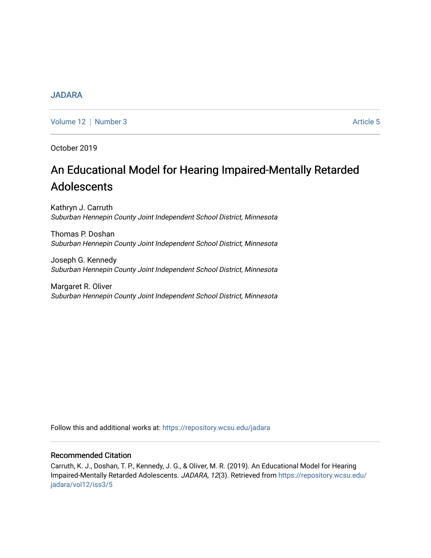## [JADARA](https://repository.wcsu.edu/jadara)

[Volume 12](https://repository.wcsu.edu/jadara/vol12) [Number 3](https://repository.wcsu.edu/jadara/vol12/iss3) Article 5

October 2019

# An Educational Model for Hearing Impaired-Mentally Retarded Adolescents

Kathryn J. Carruth Suburban Hennepin County Joint Independent School District, Minnesota

Thomas P. Doshan Suburban Hennepin County Joint Independent School District, Minnesota

Joseph G. Kennedy Suburban Hennepin County Joint Independent School District, Minnesota

Margaret R. Oliver Suburban Hennepin County Joint Independent School District, Minnesota

Follow this and additional works at: [https://repository.wcsu.edu/jadara](https://repository.wcsu.edu/jadara?utm_source=repository.wcsu.edu%2Fjadara%2Fvol12%2Fiss3%2F5&utm_medium=PDF&utm_campaign=PDFCoverPages)

#### Recommended Citation

Carruth, K. J., Doshan, T. P., Kennedy, J. G., & Oliver, M. R. (2019). An Educational Model for Hearing Impaired-Mentally Retarded Adolescents. JADARA, 12(3). Retrieved from [https://repository.wcsu.edu/](https://repository.wcsu.edu/jadara/vol12/iss3/5?utm_source=repository.wcsu.edu%2Fjadara%2Fvol12%2Fiss3%2F5&utm_medium=PDF&utm_campaign=PDFCoverPages) [jadara/vol12/iss3/5](https://repository.wcsu.edu/jadara/vol12/iss3/5?utm_source=repository.wcsu.edu%2Fjadara%2Fvol12%2Fiss3%2F5&utm_medium=PDF&utm_campaign=PDFCoverPages)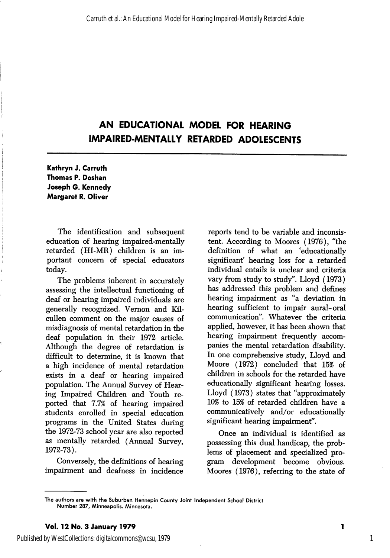## AN EDUCATIONAL MODEL FOR HEARING IMPAIRED-MENTALLY RETARDED ADOLESCENTS

Kathryn J. Carruth Thomas P. Doshan Joseph G. Kennedy Margaret R. Oliver

The identification and subsequent education of hearing impaired-mentally retarded (HI-MR) children is an im portant concern of special educators today.

The problems inherent in accurately assessing the intellectual functioning of deaf or hearing impaired individuals are generally recognized. Vemon and Kilcullen comment on the major causes of misdiagnosis of mental retardation in the deaf population in their 1972 article. Although the degree of retardation is difficult to determine, it is known that a high incidence of mental retardation exists in a deaf or hearing impaired population. The Annual Survey of Hear ing Impaired Children and Youth re ported that 7.7% of hearing impaired students enrolled in special education programs in the United States during the 1972-73 school year are also reported as mentally retarded (Annual Survey, 1972-73).

Conversely, the definitions of hearing impairment and deafness in incidence

reports tend to be variable and inconsis tent. According to Moores (1976), "the definition of what an 'educationally significant' hearing loss for a retarded individual entails is unclear and criteria vary from study to study". Lloyd (1973) has addressed this problem and defines hearing impairment as "a deviation in hearing sufficient to impair aural-oral communication". Whatever the criteria applied, however, it has been shown that hearing impairment frequently accom panies the mental retardation disability. In one comprehensive study, Lloyd and Moore (1972) concluded that 15% of children in schools for the retarded have educationally significant hearing losses. Lloyd (1973) states that "approximately 10% to 15% of retarded children have a communicatively and/or educationally significant hearing impairment".

Once an individual is identified as possessing this dual handicap, the prob lems of placement and specialized pro gram development become obvious. Moores (1976), referring to the state of

1

1

Published by WestCollections: digitalcommons@wcsu, 1979

The authors are with the Suburban Hennepin County Joint Independent School District Number 287, Minneapolis. Minnesota.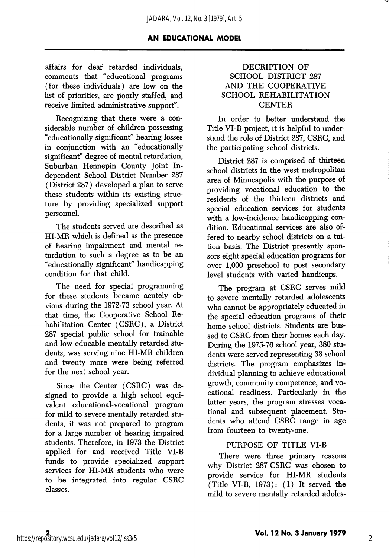affairs for deaf retarded individuals, comments that "educational programs (for these individuals) are low on the list of priorities, are poorly staffed, and receive limited administrative support".

Recognizing that there were a con siderable number of children possessing "educationally significant" hearing losses in conjunction with an "educationally significant" degree of mental retardation. Suburban Hennepin County Joint In dependent School District Number 287 (District 287) developed a plan to serve these students within its existing struc ture by providing specialized support personnel.

The students served are described as HI-MR which is defined as the presence of hearing impairment and mental re tardation to such a degree as to be an "educationally significant" handicapping condition for that child.

The need for special programming for these students became acutely ob vious during the 1972-73 school year. At that time, the Cooperative School Re habilitation Center (CSRC), a District 287 special public school for trainable and low educable mentally retarded stu dents, was serving nine HI-MR children and twenty more were being referred for the next school year.

Since the Center (CSRC) was de signed to provide a high school equivalent educational-vocational program for mild to severe mentally retarded stu dents, it was not prepared to program for a large number of hearing impaired students. Therefore, in 1973 the District applied for and received Title VI-B funds to provide specialized support services for HI-MR students who were to be integrated into regular CSRC classes.

#### DECRIPTION OF SCHOOL DISTRICT 287 AND THE COOPERATIVE SCHOOL REHABILITATION **CENTER**

In order to better understand the Title VI-B project, it is helpful to under stand the role of District 287, CSRC, and the participating school districts.

District 287 is comprised of thirteen school districts in the west metropolitan area of Minneapolis with the purpose of providing vocational education to the residents of the thirteen districts and special education services for students with a low-incidence handicapping condition. Educational services are also of fered to nearby school districts on a tui tion basis. The District presently spon sors eight special education programs for over 1,000 preschool to post secondary level students with varied handicaps.

The program at CSRC serves mild to severe mentally retarded adolescents who cannot be appropriately educated in the special education programs of their home school districts. Students are bus sed to CSRC from their homes each day. During the 1975-76 school year, 380 stu dents were served representing 38 school districts. The program emphasizes in dividual planning to achieve educational growth, community competence, and vo cational readiness. Particularly in the latter years, the program stresses voca tional and subsequent placement. Stu dents who attend CSRC range in age from fourteen to twenty-one.

## PURPOSE OF TITLE VI-B

There were three primary reasons why District 287-CSRC was chosen to provide service for HI-MR students (Title VI-B, 1973): (1) It served the mild to severe mentally retarded adoles-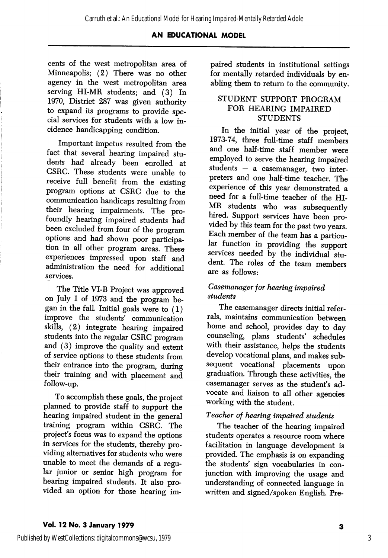cents of the west metropolitan area of Minneapolis; (2) There was no other agency in the west metropolitan area serving HI-MR students; and (3) In 1970, District 287 was given authority to expand its programs to provide spe cial services for students with a low in cidence handicapping condition.

Important impetus resulted from the fact that several hearing impaired stu dents had already been enrolled at CSRC. These students were unable to receive full benefit from the existing program options at CSRC due to the communication handicaps resulting from their hearing impairments. The profoundly hearing impaired students had been excluded from four of the program options and had shown poor participa tion in all other program areas. These  $\frac{1}{2}$  experiences impressed upon staff and administration the need for additional services.

The Title VI-B Project was approved on July 1 of 1973 and the program be gan in the fall. Initial goals were to (1) improve the students' communication skills, (2) integrate hearing impaired students into the regular CSRC program and (3) improve the quality and extent of service options to these students from their entrance into the program, during their training and with placement and follow-up.

To accomplish these goals, the project planned to provide staff to support the hearing impaired student in the general training program within CSRC. The project's focus was to expand the options in services for the students, thereby pro viding alternatives for students who were unable to meet the demands of a regu lar junior or senior high program for hearing impaired students. It also pro vided an option for those hearing im

paired students in institutional settings for mentally retarded individuals by en abling them to return to the community.

#### STUDENT SUPPORT PROGRAM FOR HEARING IMPAIRED **STUDENTS**

In the initial year of the project, 1973-74, three fuU-time staff members and one half-time staff member were employed to serve the hearing impaired students — a casemanager, two inter preters and one half-time teacher. The experience of this year demonstrated a need for a full-time teacher of the HI-MR students who was subsequently hired. Support services have been provided by this team for the past two years. Each member of the team has a particu lar function in providing the support services needed by the individual student. The roles of the team members are as follows:

## Casemanager for hearing impaired students

The casemanager directs initial refer rals, maintains communication between home and school, provides day to day counseling, plans students' schedules with their assistance, helps the students develop vocational plans, and makes sub sequent vocational placements upon graduation. Through these activities, the casemanager serves as the student's advocate and liaison to all other agencies working with the student.

## Teacher of hearing impaired students

The teacher of the hearing impaired students operates a resource room where facilitation in language development is provided. The emphasis is on expanding the students' sign vocabularies in con junction with improving the usage and understanding of connected language in written and signed/spoken English. Pre-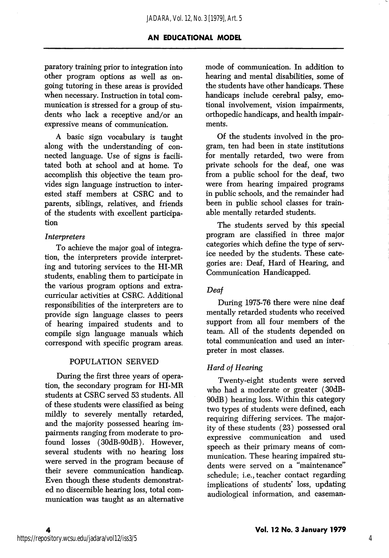paratory training prior to integration into other program options as well as on going tutoring in these areas is provided when necessary. Instruction in total communication is stressed for a group of stu dents who lack a receptive and/or an expressive means of communication.

A basic sign vocabulary is taught along with the understanding of con nected language. Use of signs is facili tated both at school and at home. To accomplish this objective the team pro vides sign language instruction to inter ested staff members at CSRC and to parents, siblings, relatives, and friends of the students with excellent participa tion

#### Interpreters

To achieve the major goal of integra tion, the interpreters provide interpret ing and tutoring services to the HI-MR students, enabling them to participate in the various program options and extra curricular activities at CSRC. Additional responsibilities of the interpreters are to provide sign language classes to peers of hearing impaired students and to compile sign language manuals which correspond with specific program areas.

#### POPULATION SERVED

During the first three years of opera tion, the secondary program for HI-MR students at CSRC served 53 students. All of these students were classified as being mildly to severely mentally retarded, and the majority possessed hearing im pairments ranging from moderate to pro found losses (30dB-90dB). However, several students with no hearing loss were served in the program because of their severe communication handicap. Even though these students demonstrat ed no discernible hearing loss, total com munication was taught as an alternative

mode of communication. In addition to hearing and mental disabilities, some of the students have other handicaps. These handicaps include cerebral palsy, emo tional involvement, vision impairments, orthopedic handicaps, and health impair ments.

Of the students involved in the pro gram, ten had been in state institutions for mentally retarded, two were from private schools for the deaf, one was from a public school for the deaf, two were from hearing impaired programs in public schools, and the remainder had been in public school classes for trainable mentally retarded students.

The students served by this special program are classified in three major categories which define the type of serv ice needed by the students. These cate gories are: Deaf, Hard of Hearing, and Communication Handicapped.

## Deaf

During 1975-76 there were nine deaf mentally retarded students who received support from all four members of the team. All of the students depended on total communication and used an inter preter in most classes.

## Hard of Hearing

Twenty-eight students were served who had a moderate or greater (30dB-90dB) hearing loss. Within this category two types of students were defined, each requiring differing services. The major ity of these students (23) possessed oral expressive communication and used speech as their primary means of com munication. These hearing impaired stu dents were served on a "maintenance" schedule; i.e., teacher contact regarding implications of students' loss, updating audiological information, and caseman-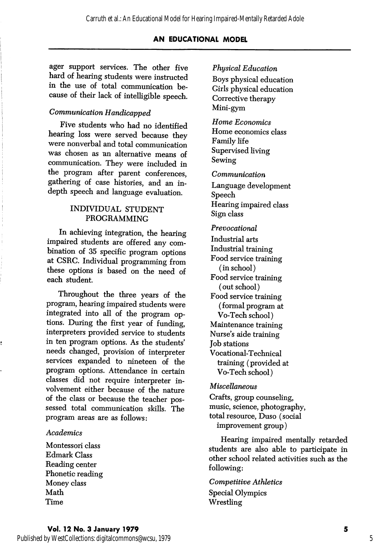ager support services. The other five hard of hearing students were instructed in the use of total communication be cause of their lack of intelligible speech.

## Communication Handicapped

Five students who had no identified hearing loss were served because they were nonverbal and total communication was chosen as an alternative means of communication. They were included in the program after parent conferences, gathering of case histories, and an indepth speech and language evaluation.

#### INDIVIDUAL STUDENT PROGRAMMING

In achieving integration, the hearing impaired students are offered any com bination of 35 specific program options at CSRG. Individual programming from these options is based on the need of each student.

Throughout the three years of the program, hearing impaired students were integrated into all of the program op tions. During the first year of funding, interpreters provided service to students in ten program options. As the students' needs changed, provision of interpreter services expanded to nineteen of the program options. Attendance in certain classes did not require interpreter in volvement either because of the nature of the class or because the teacher pos sessed total communication skills. The program areas are as follows:

## Academics

Montessori class Edmark Class Reading center Phonetic reading Money class Math Time

#### Physical Education

Boys physical education Girls physical education Corrective therapy Mini-gym

Home Economics Home economics class Family life Supervised living Sewing

Communication

Language development Speech Hearing impaired class Sign class

Prevocational Industrial arts Industrial training Food service training (in school) Food service training (out school) Food service training (formal program at Vo-Tech school) Maintenance training Nurse's aide training Job stations Vocational-Technical training (provided at Vo-Tech school)

Miscellaneous

Crafts, group counseling, music, science, photography, total resource, Duso (social improvement group)

Hearing impaired mentally retarded students are also able to participate in other school related activities such as the following:

Competitive Athletics Special Olympics Wrestling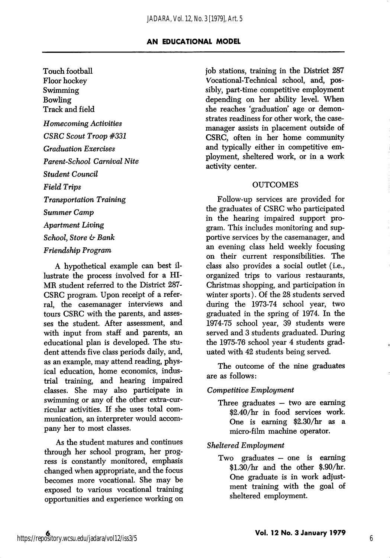Touch football Floor hockey Swimming Bowling Track and field Homecoming Activities CSRC Scout Troop #331 Graduation Exercises Parent-School Carnival Nite Student Council Field Trips Transportation Training Summer Camp Apartment Living School, Store & Bank

#### Friendship Program

A hypothetical example can best il lustrate the process involved for a HI-MR student referred to the District 287- CSRC program. Upon receipt of a refer ral, the casemanager interviews and tours CSRC with the parents, and asses ses the student. After assessment, and with input from staff and parents, an educational plan is developed. The stu dent attends five class periods daily, and, as an example, may attend reading, phys ical education, home economics, indus trial training, and hearing impaired classes. She may also participate in swimming or any of the other extra-curricular activities. If she uses total com munication, an interpreter would accom pany her to most classes.

As the student matures and continues through her school program, her prog ress is constantly monitored, emphasis changed when appropriate, and the focus becomes more vocational. She may be exposed to various vocational training opportunities and experience working on job stations, training in the District 287 Vocational-Technical school, and, pos sibly, part-time competitive employment depending on her ability level. When she reaches 'graduation' age or demonstrates readiness for other work, the casemanager assists in placement outside of CSRC, often in her home community and typically either in competitive em ployment, sheltered work, or in a work activity center.

#### **OUTCOMES**

Follow-up services are provided for the graduates of CSRC who participated in the hearing impaired support pro gram. This includes monitoring and sup portive services by the casemanager, and an evening class held weekly focusing on their current responsibilities. The class also provides a social outlet (i.e., organized trips to various restaurants, Christmas shopping, and participation in winter sports). Of the 28 students served during the 1973-74 school year, two graduated in the spring of 1974. In the 1974-75 school year, 39 students were served and 3 students graduated. During the 1975-76 school year 4 students grad uated with 42 students being served.

The outcome of the nine graduates are as follows:

#### Competitive Employment

Three graduates — two are earning \$2.40/hr in food services work. One is earning \$2.30/hr as a micro-film machine operator.

Sheltered Employment

Two graduates — one is earning \$1.30/hr and the other \$.90/hr. One graduate is in work adjust ment training with the goal of sheltered employment.

6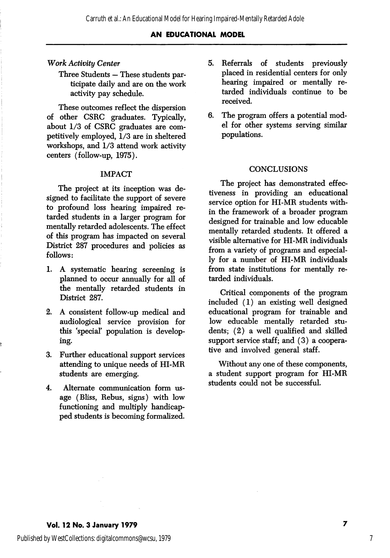#### Work Activity Center

Three Students — These students par ticipate daily and are on the work activity pay schedule.

These outcomes reflect the dispersion of other CSRC graduates. Typically, about 1/3 of CSRC graduates are com petitively employed, 1/3 are in sheltered workshops, and 1/3 attend work activity centers (follow-up, 1975).

#### IMPACT

The project at its inception was de signed to facilitate the support of severe to profound loss hearing impaired re tarded students in a larger program for mentally retarded adolescents. The effect of this program has impacted on several District 287 procedures and policies as follows:

- 1. A systematic hearing screening is planned to occur annually for all of the mentally retarded students in District 287.
- 2. A consistent follow-up medical and audiological service provision for this 'special' population is develop ing.
- 3. Further educational support services attending to unique needs of HI-MR students are emerging.
- 4. Alternate communication form us age (Bliss, Rebus, signs) with low functioning and multiply handicap ped students is becoming formalized.
- $5.$ Referrals of students previously placed in residential centers for only hearing impaired or mentally re tarded individuals continue to be received.
- 6. The program offers a potential mod el for other systems serving similar populations.

#### **CONCLUSIONS**

The project has demonstrated effec tiveness in providing an educational service option for HI-MR students with in the framework of a broader program designed for trainable and low educable mentally retarded students. It offered a visible alternative for HI-MR individuals from a variety of programs and especial ly for a number of HI-MR individuals from state institutions for mentally re tarded individuals.

Critical components of the program included (1) an existing well designed educational program for trainable and low educable mentally retarded stu dents; (2) a well qualified and skilled support service staff; and  $(3)$  a cooperative and involved general staff.

Without any one of these components, a student support program for HI-MR students could not be successful.

7